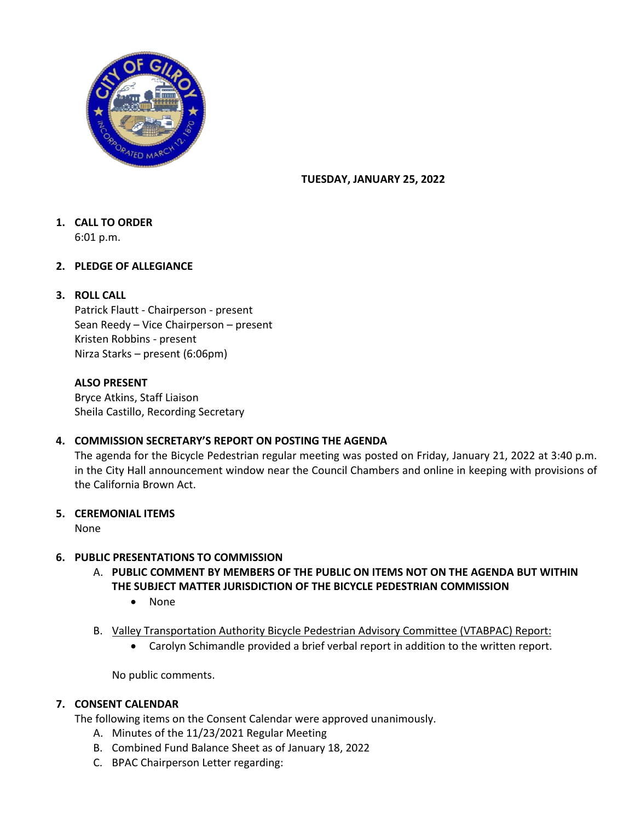

### **TUESDAY, JANUARY 25, 2022**

# **1. CALL TO ORDER**

6:01 p.m.

# **2. PLEDGE OF ALLEGIANCE**

## **3. ROLL CALL**

Patrick Flautt - Chairperson - present Sean Reedy – Vice Chairperson – present Kristen Robbins - present Nirza Starks – present (6:06pm)

## **ALSO PRESENT**

Bryce Atkins, Staff Liaison Sheila Castillo, Recording Secretary

# **4. COMMISSION SECRETARY'S REPORT ON POSTING THE AGENDA**

The agenda for the Bicycle Pedestrian regular meeting was posted on Friday, January 21, 2022 at 3:40 p.m. in the City Hall announcement window near the Council Chambers and online in keeping with provisions of the California Brown Act.

#### **5. CEREMONIAL ITEMS**

None

#### **6. PUBLIC PRESENTATIONS TO COMMISSION**

- A. **PUBLIC COMMENT BY MEMBERS OF THE PUBLIC ON ITEMS NOT ON THE AGENDA BUT WITHIN THE SUBJECT MATTER JURISDICTION OF THE BICYCLE PEDESTRIAN COMMISSION** 
	- None
- B. Valley Transportation Authority Bicycle Pedestrian Advisory Committee (VTABPAC) Report:
	- Carolyn Schimandle provided a brief verbal report in addition to the written report.

No public comments.

# **7. CONSENT CALENDAR**

The following items on the Consent Calendar were approved unanimously.

- A. Minutes of the 11/23/2021 Regular Meeting
- B. Combined Fund Balance Sheet as of January 18, 2022
- C. BPAC Chairperson Letter regarding: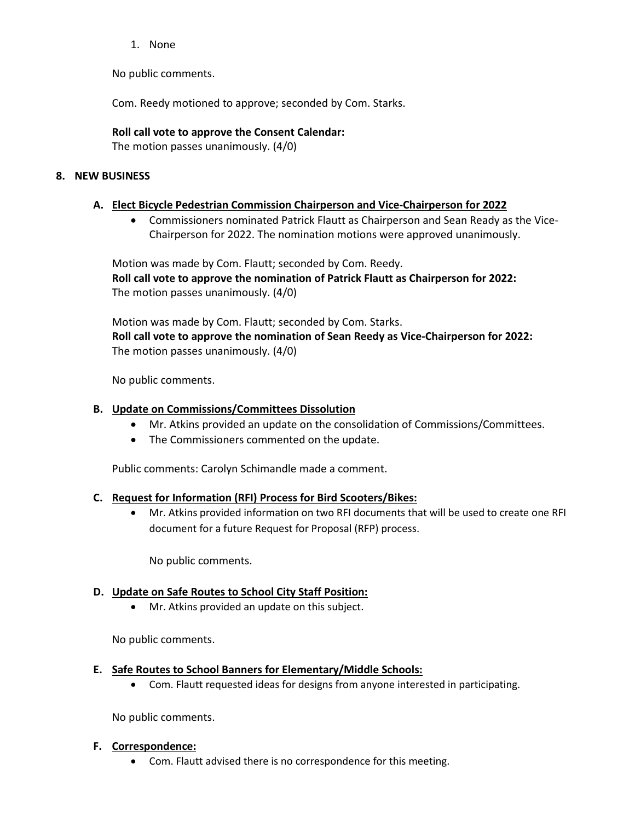1. None

No public comments.

Com. Reedy motioned to approve; seconded by Com. Starks.

## **Roll call vote to approve the Consent Calendar:**

The motion passes unanimously. (4/0)

## **8. NEW BUSINESS**

## **A. Elect Bicycle Pedestrian Commission Chairperson and Vice-Chairperson for 2022**

• Commissioners nominated Patrick Flautt as Chairperson and Sean Ready as the Vice-Chairperson for 2022. The nomination motions were approved unanimously.

Motion was made by Com. Flautt; seconded by Com. Reedy. **Roll call vote to approve the nomination of Patrick Flautt as Chairperson for 2022:** The motion passes unanimously. (4/0)

Motion was made by Com. Flautt; seconded by Com. Starks. **Roll call vote to approve the nomination of Sean Reedy as Vice-Chairperson for 2022:** The motion passes unanimously. (4/0)

No public comments.

## **B. Update on Commissions/Committees Dissolution**

- Mr. Atkins provided an update on the consolidation of Commissions/Committees.
- The Commissioners commented on the update.

Public comments: Carolyn Schimandle made a comment.

#### **C. Request for Information (RFI) Process for Bird Scooters/Bikes:**

• Mr. Atkins provided information on two RFI documents that will be used to create one RFI document for a future Request for Proposal (RFP) process.

No public comments.

# **D. Update on Safe Routes to School City Staff Position:**

• Mr. Atkins provided an update on this subject.

No public comments.

- **E. Safe Routes to School Banners for Elementary/Middle Schools:** 
	- Com. Flautt requested ideas for designs from anyone interested in participating.

No public comments.

#### **F. Correspondence:**

• Com. Flautt advised there is no correspondence for this meeting.